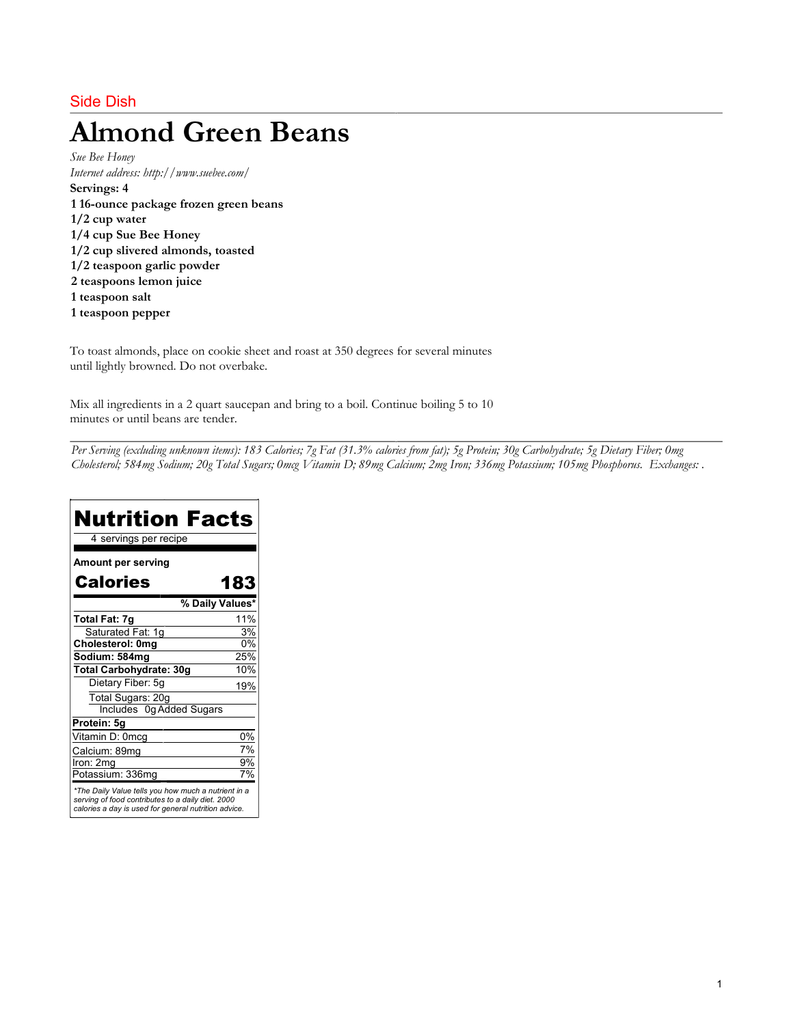# Side Dish

# Almond Green Beans

Sue Bee Honey Internet address: http://www.suebee.com/ Servings: 4 1 16-ounce package frozen green beans 1/2 cup water 1/4 cup Sue Bee Honey 1/2 cup slivered almonds, toasted 1/2 teaspoon garlic powder 2 teaspoons lemon juice 1 teaspoon salt 1 teaspoon pepper

To toast almonds, place on cookie sheet and roast at 350 degrees for several minutes until lightly browned. Do not overbake.

Mix all ingredients in a 2 quart saucepan and bring to a boil. Continue boiling 5 to 10 minutes or until beans are tender.

Per Serving (excluding unknown items): 183 Calories; 7g Fat (31.3% calories from fat); 5g Protein; 30g Carbohydrate; 5g Dietary Fiber; 0mg Cholesterol; 584mg Sodium; 20g Total Sugars; 0mcg Vitamin D; 89mg Calcium; 2mg Iron; 336mg Potassium; 105mg Phosphorus. Exchanges: .

| <b>Nutrition Facts</b><br>4 servings per recipe                                                                                                                  |     |
|------------------------------------------------------------------------------------------------------------------------------------------------------------------|-----|
| <b>Amount per serving</b>                                                                                                                                        |     |
| <b>Calories</b>                                                                                                                                                  | 183 |
| % Daily Values*                                                                                                                                                  |     |
| Total Fat: 7g                                                                                                                                                    | 11% |
| Saturated Fat: 1g                                                                                                                                                | 3%  |
| Cholesterol: 0mg                                                                                                                                                 | 0%  |
| Sodium: 584mg                                                                                                                                                    | 25% |
| Total Carbohydrate: 30g                                                                                                                                          | 10% |
| Dietary Fiber: 5g                                                                                                                                                | 19% |
| Total Sugars: 20g                                                                                                                                                |     |
| Includes 0g Added Sugars                                                                                                                                         |     |
| Protein: 5g                                                                                                                                                      |     |
| Vitamin D: 0mcg                                                                                                                                                  | 0%  |
| Calcium: 89mg                                                                                                                                                    | 7%  |
| Iron: 2mg                                                                                                                                                        | 9%  |
| Potassium: 336mg                                                                                                                                                 | 7%  |
| *The Daily Value tells you how much a nutrient in a<br>serving of food contributes to a daily diet. 2000<br>calories a day is used for general nutrition advice. |     |